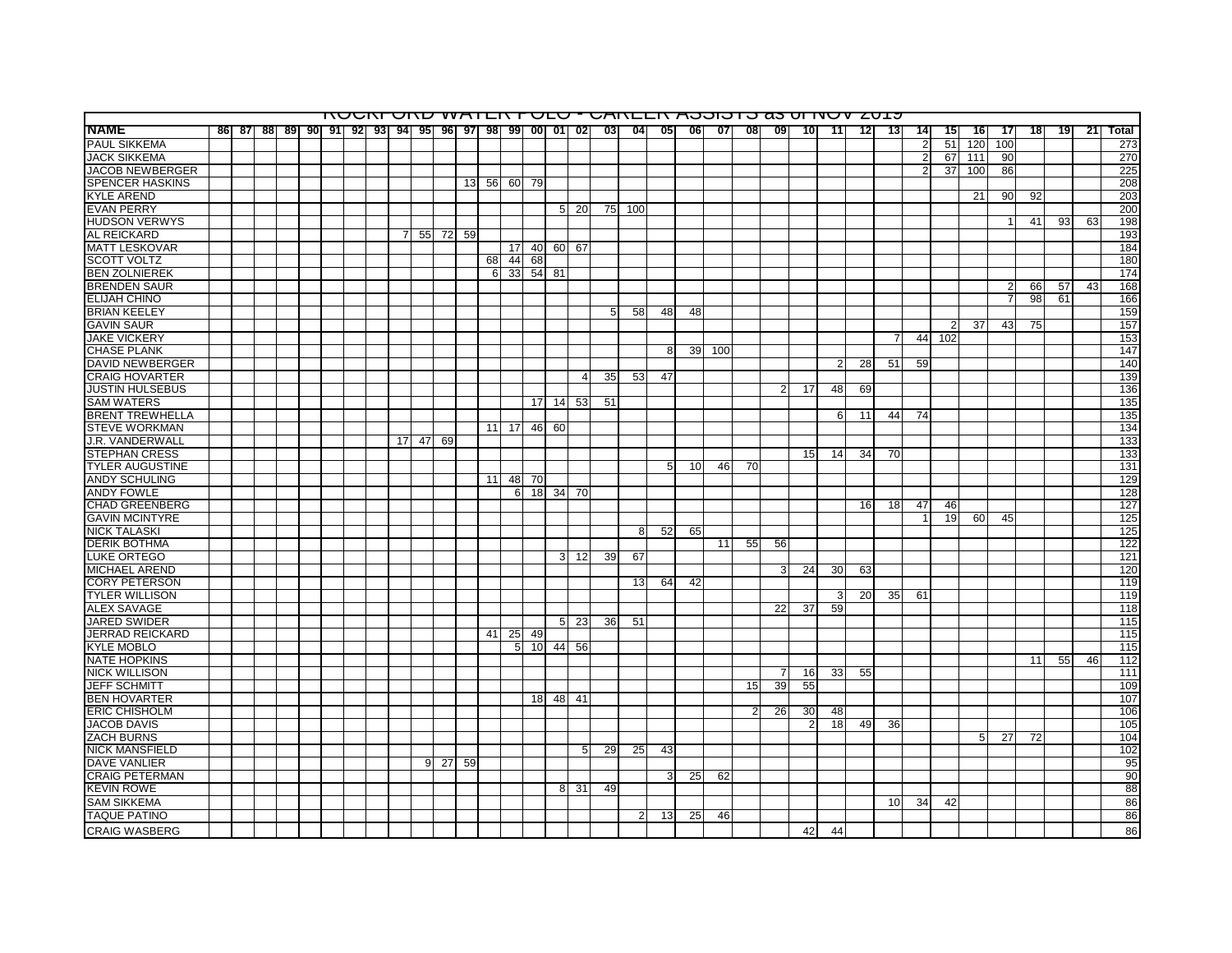|                        |  |  |  |  |                 |                                                    |    |       |       |       |                 |          |                  |                 |                 | <u>KUUNI UNU WATEN FUEU " UANEEN AUDIOTO 83 UHUV ZUTJ</u> |                 |     |    |                 |                 |    |    |    |                |     |     |                |    |    |    |       |
|------------------------|--|--|--|--|-----------------|----------------------------------------------------|----|-------|-------|-------|-----------------|----------|------------------|-----------------|-----------------|-----------------------------------------------------------|-----------------|-----|----|-----------------|-----------------|----|----|----|----------------|-----|-----|----------------|----|----|----|-------|
| <b>NAME</b>            |  |  |  |  |                 | 86 87 88 89 90 91 92 93 94 95 96 97 98 99 00 01 02 |    |       |       |       |                 |          |                  | $03\Box$        | 041             | 05                                                        | <b>061</b>      | 07  | 08 | 09              | 10 <sub>1</sub> | 11 | 12 | 13 | 14             | 15  | 16  | -17            | 18 | 19 | 21 | Total |
| <b>PAUL SIKKEMA</b>    |  |  |  |  |                 |                                                    |    |       |       |       |                 |          |                  |                 |                 |                                                           |                 |     |    |                 |                 |    |    |    | $\overline{2}$ | 51  | 120 | 100            |    |    |    | 273   |
| <b>JACK SIKKEMA</b>    |  |  |  |  |                 |                                                    |    |       |       |       |                 |          |                  |                 |                 |                                                           |                 |     |    |                 |                 |    |    |    | 2              | 67  | 111 | 90             |    |    |    | 270   |
| <b>JACOB NEWBERGER</b> |  |  |  |  |                 |                                                    |    |       |       |       |                 |          |                  |                 |                 |                                                           |                 |     |    |                 |                 |    |    |    | 2              | 37  | 100 | 86             |    |    |    | 225   |
| <b>SPENCER HASKINS</b> |  |  |  |  |                 |                                                    |    |       | 13 56 | 60    | - 79            |          |                  |                 |                 |                                                           |                 |     |    |                 |                 |    |    |    |                |     |     |                |    |    |    | 208   |
| <b>KYLE AREND</b>      |  |  |  |  |                 |                                                    |    |       |       |       |                 |          |                  |                 |                 |                                                           |                 |     |    |                 |                 |    |    |    |                |     | 21  | 90             | 92 |    |    | 203   |
| <b>EVAN PERRY</b>      |  |  |  |  |                 |                                                    |    |       |       |       |                 |          | 5 20             | 75              | 100             |                                                           |                 |     |    |                 |                 |    |    |    |                |     |     |                |    |    |    | 200   |
| <b>HUDSON VERWYS</b>   |  |  |  |  |                 |                                                    |    |       |       |       |                 |          |                  |                 |                 |                                                           |                 |     |    |                 |                 |    |    |    |                |     |     |                | 41 | 93 | 63 | 198   |
| AL REICKARD            |  |  |  |  | $\overline{7}$  | 55                                                 | 72 | 59    |       |       |                 |          |                  |                 |                 |                                                           |                 |     |    |                 |                 |    |    |    |                |     |     |                |    |    |    | 193   |
| <b>MATT LESKOVAR</b>   |  |  |  |  |                 |                                                    |    |       |       | 17    | 40              |          | 60 67            |                 |                 |                                                           |                 |     |    |                 |                 |    |    |    |                |     |     |                |    |    |    | 184   |
| <b>SCOTT VOLTZ</b>     |  |  |  |  |                 |                                                    |    |       | 68    | 44    | 68              |          |                  |                 |                 |                                                           |                 |     |    |                 |                 |    |    |    |                |     |     |                |    |    |    | 180   |
| <b>BEN ZOLNIEREK</b>   |  |  |  |  |                 |                                                    |    |       | 6     | 33    | 54              | 81       |                  |                 |                 |                                                           |                 |     |    |                 |                 |    |    |    |                |     |     |                |    |    |    | 174   |
| <b>BRENDEN SAUR</b>    |  |  |  |  |                 |                                                    |    |       |       |       |                 |          |                  |                 |                 |                                                           |                 |     |    |                 |                 |    |    |    |                |     |     | $\overline{2}$ | 66 | 57 | 43 | 168   |
| <b>ELIJAH CHINO</b>    |  |  |  |  |                 |                                                    |    |       |       |       |                 |          |                  |                 |                 |                                                           |                 |     |    |                 |                 |    |    |    |                |     |     |                | 98 | 61 |    | 166   |
| <b>BRIAN KEELEY</b>    |  |  |  |  |                 |                                                    |    |       |       |       |                 |          |                  | 5 <sup>1</sup>  | 58              | 48                                                        | 48              |     |    |                 |                 |    |    |    |                |     |     |                |    |    |    | 159   |
| <b>GAVIN SAUR</b>      |  |  |  |  |                 |                                                    |    |       |       |       |                 |          |                  |                 |                 |                                                           |                 |     |    |                 |                 |    |    |    |                | 2   | 37  | 43             | 75 |    |    | 157   |
| <b>JAKE VICKERY</b>    |  |  |  |  |                 |                                                    |    |       |       |       |                 |          |                  |                 |                 |                                                           |                 |     |    |                 |                 |    |    |    | 44             | 102 |     |                |    |    |    | 153   |
| <b>CHASE PLANK</b>     |  |  |  |  |                 |                                                    |    |       |       |       |                 |          |                  |                 |                 | 8                                                         | 39 <sub>l</sub> | 100 |    |                 |                 |    |    |    |                |     |     |                |    |    |    | 147   |
| <b>DAVID NEWBERGER</b> |  |  |  |  |                 |                                                    |    |       |       |       |                 |          |                  |                 |                 |                                                           |                 |     |    |                 |                 |    |    | 51 |                |     |     |                |    |    |    | 140   |
|                        |  |  |  |  |                 |                                                    |    |       |       |       |                 |          | $\overline{4}$   | 35 <sub>l</sub> | 53              | 47                                                        |                 |     |    |                 |                 |    | 28 |    | 59             |     |     |                |    |    |    | 139   |
| <b>CRAIG HOVARTER</b>  |  |  |  |  |                 |                                                    |    |       |       |       |                 |          |                  |                 |                 |                                                           |                 |     |    |                 | 17              |    |    |    |                |     |     |                |    |    |    |       |
| JUSTIN HULSEBUS        |  |  |  |  |                 |                                                    |    |       |       |       |                 |          |                  |                 |                 |                                                           |                 |     |    |                 |                 | 48 | 69 |    |                |     |     |                |    |    |    | 136   |
| <b>SAM WATERS</b>      |  |  |  |  |                 |                                                    |    |       |       |       | 17 <sup>1</sup> | 14       | 53               | 51              |                 |                                                           |                 |     |    |                 |                 |    |    |    |                |     |     |                |    |    |    | 135   |
| <b>BRENT TREWHELLA</b> |  |  |  |  |                 |                                                    |    |       |       |       |                 |          |                  |                 |                 |                                                           |                 |     |    |                 |                 | 6  | 11 | 44 | 74             |     |     |                |    |    |    | 135   |
| <b>STEVE WORKMAN</b>   |  |  |  |  |                 |                                                    |    |       |       | 11 17 | 46              | 60       |                  |                 |                 |                                                           |                 |     |    |                 |                 |    |    |    |                |     |     |                |    |    |    | 134   |
| J.R. VANDERWALL        |  |  |  |  | 17 <sup>1</sup> | 47                                                 | 69 |       |       |       |                 |          |                  |                 |                 |                                                           |                 |     |    |                 |                 |    |    |    |                |     |     |                |    |    |    | 133   |
| <b>STEPHAN CRESS</b>   |  |  |  |  |                 |                                                    |    |       |       |       |                 |          |                  |                 |                 |                                                           |                 |     |    |                 | 15              | 14 | 34 | 70 |                |     |     |                |    |    |    | 133   |
| <b>TYLER AUGUSTINE</b> |  |  |  |  |                 |                                                    |    |       |       |       |                 |          |                  |                 |                 | 5                                                         | 10              | 46  | 70 |                 |                 |    |    |    |                |     |     |                |    |    |    | 131   |
| <b>ANDY SCHULING</b>   |  |  |  |  |                 |                                                    |    |       | 11    | 48    | 70              |          |                  |                 |                 |                                                           |                 |     |    |                 |                 |    |    |    |                |     |     |                |    |    |    | 129   |
| <b>ANDY FOWLE</b>      |  |  |  |  |                 |                                                    |    |       |       | 6     | 18              |          | 34 70            |                 |                 |                                                           |                 |     |    |                 |                 |    |    |    |                |     |     |                |    |    |    | 128   |
| <b>CHAD GREENBERG</b>  |  |  |  |  |                 |                                                    |    |       |       |       |                 |          |                  |                 |                 |                                                           |                 |     |    |                 |                 |    | 16 | 18 | 47             | 46  |     |                |    |    |    | 127   |
| <b>GAVIN MCINTYRE</b>  |  |  |  |  |                 |                                                    |    |       |       |       |                 |          |                  |                 |                 |                                                           |                 |     |    |                 |                 |    |    |    |                | 19  | 60  | 45             |    |    |    | 125   |
| <b>NICK TALASKI</b>    |  |  |  |  |                 |                                                    |    |       |       |       |                 |          |                  |                 | 8               | 52                                                        | 65              |     |    |                 |                 |    |    |    |                |     |     |                |    |    |    | 125   |
| <b>DERIK BOTHMA</b>    |  |  |  |  |                 |                                                    |    |       |       |       |                 |          |                  |                 |                 |                                                           |                 | 11  | 55 | 56              |                 |    |    |    |                |     |     |                |    |    |    | 122   |
| <b>LUKE ORTEGO</b>     |  |  |  |  |                 |                                                    |    |       |       |       |                 |          | $3 \mid 12 \mid$ | 39              | 67              |                                                           |                 |     |    |                 |                 |    |    |    |                |     |     |                |    |    |    | 121   |
| <b>MICHAEL AREND</b>   |  |  |  |  |                 |                                                    |    |       |       |       |                 |          |                  |                 |                 |                                                           |                 |     |    | 3               | 24              | 30 | 63 |    |                |     |     |                |    |    |    | 120   |
| <b>CORY PETERSON</b>   |  |  |  |  |                 |                                                    |    |       |       |       |                 |          |                  |                 | 13              | 64                                                        | 42              |     |    |                 |                 |    |    |    |                |     |     |                |    |    |    | 119   |
| <b>TYLER WILLISON</b>  |  |  |  |  |                 |                                                    |    |       |       |       |                 |          |                  |                 |                 |                                                           |                 |     |    |                 |                 | 3  | 20 | 35 | 61             |     |     |                |    |    |    | 119   |
| <b>ALEX SAVAGE</b>     |  |  |  |  |                 |                                                    |    |       |       |       |                 |          |                  |                 |                 |                                                           |                 |     |    | $\overline{22}$ | 37              | 59 |    |    |                |     |     |                |    |    |    | 118   |
| <b>JARED SWIDER</b>    |  |  |  |  |                 |                                                    |    |       |       |       |                 | 5.       | 23               | 36              | 51              |                                                           |                 |     |    |                 |                 |    |    |    |                |     |     |                |    |    |    | 115   |
| <b>JERRAD REICKARD</b> |  |  |  |  |                 |                                                    |    |       | 41    | 25    | 49              |          |                  |                 |                 |                                                           |                 |     |    |                 |                 |    |    |    |                |     |     |                |    |    |    | 115   |
| <b>KYLE MOBLO</b>      |  |  |  |  |                 |                                                    |    |       |       | 5     | 10              | 44       | 56               |                 |                 |                                                           |                 |     |    |                 |                 |    |    |    |                |     |     |                |    |    |    | 115   |
| <b>NATE HOPKINS</b>    |  |  |  |  |                 |                                                    |    |       |       |       |                 |          |                  |                 |                 |                                                           |                 |     |    |                 |                 |    |    |    |                |     |     |                | 11 | 55 | 46 | 112   |
| <b>NICK WILLISON</b>   |  |  |  |  |                 |                                                    |    |       |       |       |                 |          |                  |                 |                 |                                                           |                 |     |    | 7               | 16              | 33 | 55 |    |                |     |     |                |    |    |    | 111   |
| <b>JEFF SCHMITT</b>    |  |  |  |  |                 |                                                    |    |       |       |       |                 |          |                  |                 |                 |                                                           |                 |     | 15 | 39              | 55              |    |    |    |                |     |     |                |    |    |    | 109   |
| <b>BEN HOVARTER</b>    |  |  |  |  |                 |                                                    |    |       |       |       |                 | 18 48 41 |                  |                 |                 |                                                           |                 |     |    |                 |                 |    |    |    |                |     |     |                |    |    |    | 107   |
| <b>ERIC CHISHOLM</b>   |  |  |  |  |                 |                                                    |    |       |       |       |                 |          |                  |                 |                 |                                                           |                 |     | 2  | 26              | 30              | 48 |    |    |                |     |     |                |    |    |    | 106   |
| <b>JACOB DAVIS</b>     |  |  |  |  |                 |                                                    |    |       |       |       |                 |          |                  |                 |                 |                                                           |                 |     |    |                 | 2               | 18 | 49 | 36 |                |     |     |                |    |    |    | 105   |
| <b>ZACH BURNS</b>      |  |  |  |  |                 |                                                    |    |       |       |       |                 |          |                  |                 |                 |                                                           |                 |     |    |                 |                 |    |    |    |                |     | 5   | 27             | 72 |    |    | 104   |
| <b>NICK MANSFIELD</b>  |  |  |  |  |                 |                                                    |    |       |       |       |                 |          | 5                | <b>29</b>       | 25 <sub>l</sub> | 43                                                        |                 |     |    |                 |                 |    |    |    |                |     |     |                |    |    |    | 102   |
| <b>DAVE VANLIER</b>    |  |  |  |  |                 | 9.                                                 |    | 27 59 |       |       |                 |          |                  |                 |                 |                                                           |                 |     |    |                 |                 |    |    |    |                |     |     |                |    |    |    | 95    |
| <b>CRAIG PETERMAN</b>  |  |  |  |  |                 |                                                    |    |       |       |       |                 |          |                  |                 |                 | 3                                                         | 25              | 62  |    |                 |                 |    |    |    |                |     |     |                |    |    |    | 90    |
| <b>KEVIN ROWE</b>      |  |  |  |  |                 |                                                    |    |       |       |       |                 |          | 8 31             | 49              |                 |                                                           |                 |     |    |                 |                 |    |    |    |                |     |     |                |    |    |    | 88    |
| <b>SAM SIKKEMA</b>     |  |  |  |  |                 |                                                    |    |       |       |       |                 |          |                  |                 |                 |                                                           |                 |     |    |                 |                 |    |    | 10 | 34I            | 42  |     |                |    |    |    | 86    |
| <b>TAQUE PATINO</b>    |  |  |  |  |                 |                                                    |    |       |       |       |                 |          |                  |                 | 2               | 13                                                        | 25              | 46  |    |                 |                 |    |    |    |                |     |     |                |    |    |    | 86    |
| <b>CRAIG WASBERG</b>   |  |  |  |  |                 |                                                    |    |       |       |       |                 |          |                  |                 |                 |                                                           |                 |     |    |                 | 42              | 44 |    |    |                |     |     |                |    |    |    | 86    |
|                        |  |  |  |  |                 |                                                    |    |       |       |       |                 |          |                  |                 |                 |                                                           |                 |     |    |                 |                 |    |    |    |                |     |     |                |    |    |    |       |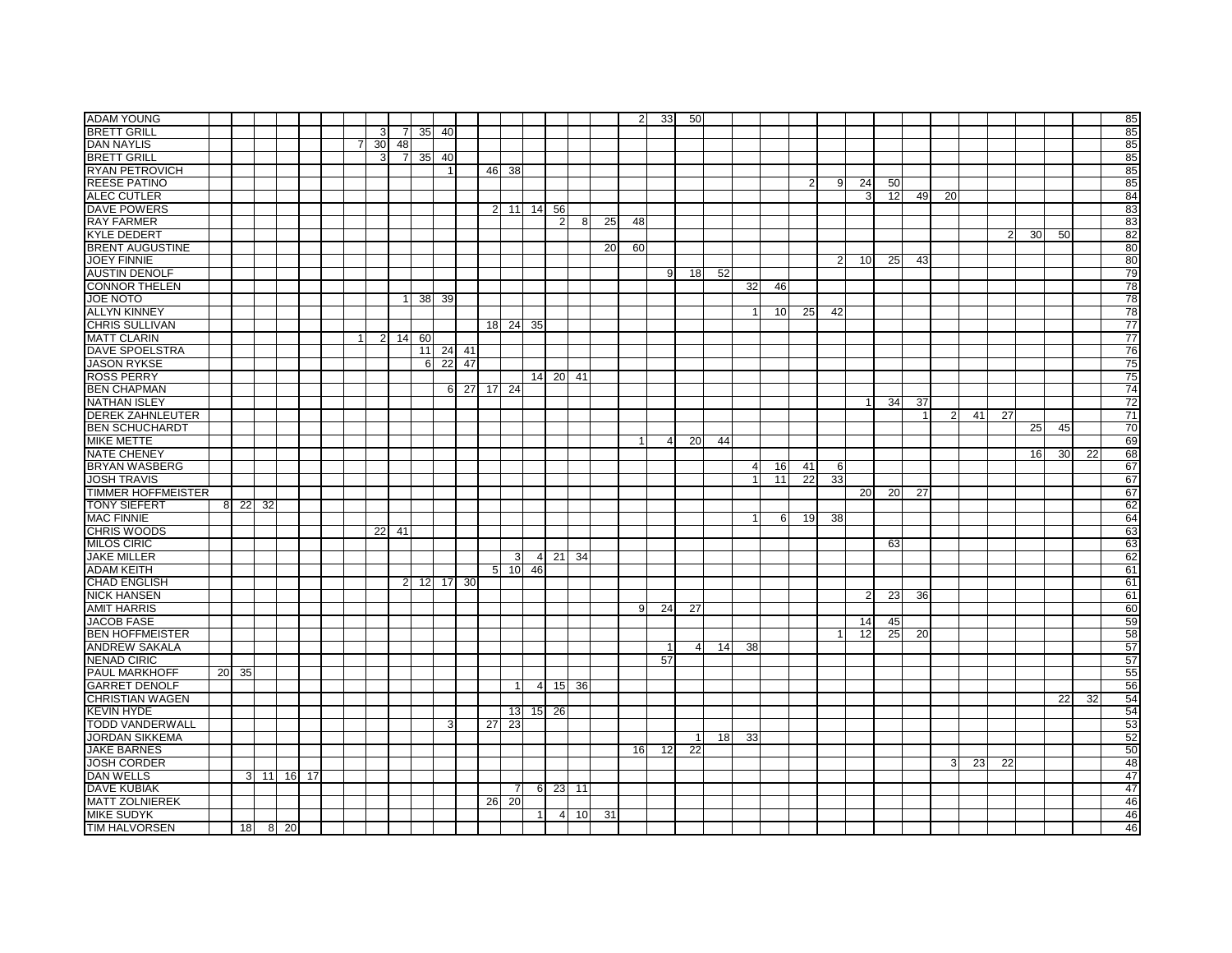| <b>ADAM YOUNG</b>         |       |    |         |            |                |                |                |    |                |            |            |                   |            |                |                 |    | $\overline{2}$ | 33             | 50             |    |                 |    |    |                |                 |    |                 |                |    |                 |    |    |    | 85              |
|---------------------------|-------|----|---------|------------|----------------|----------------|----------------|----|----------------|------------|------------|-------------------|------------|----------------|-----------------|----|----------------|----------------|----------------|----|-----------------|----|----|----------------|-----------------|----|-----------------|----------------|----|-----------------|----|----|----|-----------------|
| <b>BRETT GRILL</b>        |       |    |         |            |                | 3              | 7              |    | 35 40          |            |            |                   |            |                |                 |    |                |                |                |    |                 |    |    |                |                 |    |                 |                |    |                 |    |    |    | 85              |
| <b>DAN NAYLIS</b>         |       |    |         |            | $\overline{7}$ | 30             | 48             |    |                |            |            |                   |            |                |                 |    |                |                |                |    |                 |    |    |                |                 |    |                 |                |    |                 |    |    |    | 85              |
| <b>BRETT GRILL</b>        |       |    |         |            |                | 3              | $\overline{7}$ | 35 | 40             |            |            |                   |            |                |                 |    |                |                |                |    |                 |    |    |                |                 |    |                 |                |    |                 |    |    |    | 85              |
| <b>RYAN PETROVICH</b>     |       |    |         |            |                |                |                |    | $\overline{1}$ |            |            | 46 38             |            |                |                 |    |                |                |                |    |                 |    |    |                |                 |    |                 |                |    |                 |    |    |    | 85              |
| <b>REESE PATINO</b>       |       |    |         |            |                |                |                |    |                |            |            |                   |            |                |                 |    |                |                |                |    |                 |    | 2  | 9              | 24              | 50 |                 |                |    |                 |    |    |    | 85              |
| <b>ALEC CUTLER</b>        |       |    |         |            |                |                |                |    |                |            |            |                   |            |                |                 |    |                |                |                |    |                 |    |    |                | 3               | 12 | 49              | 20             |    |                 |    |    |    | 84              |
| <b>DAVE POWERS</b>        |       |    |         |            |                |                |                |    |                |            |            |                   | 2 11 14 56 |                |                 |    |                |                |                |    |                 |    |    |                |                 |    |                 |                |    |                 |    |    |    | 83              |
| <b>RAY FARMER</b>         |       |    |         |            |                |                |                |    |                |            |            |                   |            | $\overline{2}$ | 8               | 25 | 48             |                |                |    |                 |    |    |                |                 |    |                 |                |    |                 |    |    |    | 83              |
| <b>KYLE DEDERT</b>        |       |    |         |            |                |                |                |    |                |            |            |                   |            |                |                 |    |                |                |                |    |                 |    |    |                |                 |    |                 |                |    | 2               | 30 | 50 |    | 82              |
| <b>BRENT AUGUSTINE</b>    |       |    |         |            |                |                |                |    |                |            |            |                   |            |                |                 | 20 | 60             |                |                |    |                 |    |    |                |                 |    |                 |                |    |                 |    |    |    | 80              |
| <b>JOEY FINNIE</b>        |       |    |         |            |                |                |                |    |                |            |            |                   |            |                |                 |    |                |                |                |    |                 |    |    |                | 10              | 25 | 43              |                |    |                 |    |    |    | 80              |
|                           |       |    |         |            |                |                |                |    |                |            |            |                   |            |                |                 |    |                | 9              |                | 52 |                 |    |    | $\overline{2}$ |                 |    |                 |                |    |                 |    |    |    |                 |
| <b>AUSTIN DENOLF</b>      |       |    |         |            |                |                |                |    |                |            |            |                   |            |                |                 |    |                |                | 18             |    |                 |    |    |                |                 |    |                 |                |    |                 |    |    |    | 79              |
| <b>CONNOR THELEN</b>      |       |    |         |            |                |                |                |    |                |            |            |                   |            |                |                 |    |                |                |                |    | 32 <sub>l</sub> | 46 |    |                |                 |    |                 |                |    |                 |    |    |    | 78              |
| <b>JOE NOTO</b>           |       |    |         |            |                |                |                |    | 38 39          |            |            |                   |            |                |                 |    |                |                |                |    |                 |    |    |                |                 |    |                 |                |    |                 |    |    |    | 78              |
| <b>ALLYN KINNEY</b>       |       |    |         |            |                |                |                |    |                |            |            |                   |            |                |                 |    |                |                |                |    |                 | 10 | 25 | 42             |                 |    |                 |                |    |                 |    |    |    | 78              |
| <b>CHRIS SULLIVAN</b>     |       |    |         |            |                |                |                |    |                |            |            |                   | 18 24 35   |                |                 |    |                |                |                |    |                 |    |    |                |                 |    |                 |                |    |                 |    |    |    | $\overline{77}$ |
| <b>MATT CLARIN</b>        |       |    |         |            | $\mathbf{1}$   | $\overline{2}$ | 14             | 60 |                |            |            |                   |            |                |                 |    |                |                |                |    |                 |    |    |                |                 |    |                 |                |    |                 |    |    |    | $\overline{77}$ |
| <b>DAVE SPOELSTRA</b>     |       |    |         |            |                |                |                |    |                | 11 24 41   |            |                   |            |                |                 |    |                |                |                |    |                 |    |    |                |                 |    |                 |                |    |                 |    |    |    | 76              |
| <b>JASON RYKSE</b>        |       |    |         |            |                |                |                |    |                | 6 22 47    |            |                   |            |                |                 |    |                |                |                |    |                 |    |    |                |                 |    |                 |                |    |                 |    |    |    | 75              |
| <b>ROSS PERRY</b>         |       |    |         |            |                |                |                |    |                |            |            |                   |            | 14 20          | 41              |    |                |                |                |    |                 |    |    |                |                 |    |                 |                |    |                 |    |    |    | 75              |
| <b>BEN CHAPMAN</b>        |       |    |         |            |                |                |                |    |                |            | 6 27 17 24 |                   |            |                |                 |    |                |                |                |    |                 |    |    |                |                 |    |                 |                |    |                 |    |    |    | 74              |
| <b>NATHAN ISLEY</b>       |       |    |         |            |                |                |                |    |                |            |            |                   |            |                |                 |    |                |                |                |    |                 |    |    |                | -1              | 34 | 37              |                |    |                 |    |    |    | 72              |
| <b>DEREK ZAHNLEUTER</b>   |       |    |         |            |                |                |                |    |                |            |            |                   |            |                |                 |    |                |                |                |    |                 |    |    |                |                 |    |                 | $\overline{2}$ | 41 | $\overline{27}$ |    |    |    | $\overline{71}$ |
| <b>BEN SCHUCHARDT</b>     |       |    |         |            |                |                |                |    |                |            |            |                   |            |                |                 |    |                |                |                |    |                 |    |    |                |                 |    |                 |                |    |                 | 25 | 45 |    | 70              |
| <b>MIKE METTE</b>         |       |    |         |            |                |                |                |    |                |            |            |                   |            |                |                 |    | 1              | $\overline{4}$ | <b>20</b>      | 44 |                 |    |    |                |                 |    |                 |                |    |                 |    |    |    | 69              |
| <b>NATE CHENEY</b>        |       |    |         |            |                |                |                |    |                |            |            |                   |            |                |                 |    |                |                |                |    |                 |    |    |                |                 |    |                 |                |    |                 | 16 | 30 | 22 | 68              |
| <b>BRYAN WASBERG</b>      |       |    |         |            |                |                |                |    |                |            |            |                   |            |                |                 |    |                |                |                |    | $\overline{4}$  | 16 | 41 | 6              |                 |    |                 |                |    |                 |    |    |    | 67              |
| <b>JOSH TRAVIS</b>        |       |    |         |            |                |                |                |    |                |            |            |                   |            |                |                 |    |                |                |                |    | $\mathbf 1$     | 11 | 22 | 33             |                 |    |                 |                |    |                 |    |    |    | 67              |
| <b>TIMMER HOFFMEISTER</b> |       |    |         |            |                |                |                |    |                |            |            |                   |            |                |                 |    |                |                |                |    |                 |    |    |                | 20              | 20 | $\overline{27}$ |                |    |                 |    |    |    | 67              |
| <b>TONY SIEFERT</b>       | 8 2 2 | 32 |         |            |                |                |                |    |                |            |            |                   |            |                |                 |    |                |                |                |    |                 |    |    |                |                 |    |                 |                |    |                 |    |    |    | 62              |
| <b>MAC FINNIE</b>         |       |    |         |            |                |                |                |    |                |            |            |                   |            |                |                 |    |                |                |                |    | -1              | 6  | 19 | 38             |                 |    |                 |                |    |                 |    |    |    | 64              |
| <b>CHRIS WOODS</b>        |       |    |         |            |                | 22             | 41             |    |                |            |            |                   |            |                |                 |    |                |                |                |    |                 |    |    |                |                 |    |                 |                |    |                 |    |    |    | 63              |
| <b>MILOS CIRIC</b>        |       |    |         |            |                |                |                |    |                |            |            |                   |            |                |                 |    |                |                |                |    |                 |    |    |                |                 | 63 |                 |                |    |                 |    |    |    | 63              |
| <b>JAKE MILLER</b>        |       |    |         |            |                |                |                |    |                |            |            | 3                 |            | 4 21 34        |                 |    |                |                |                |    |                 |    |    |                |                 |    |                 |                |    |                 |    |    |    | 62              |
| <b>ADAM KEITH</b>         |       |    |         |            |                |                |                |    |                |            |            | $5 \overline{10}$ | 46         |                |                 |    |                |                |                |    |                 |    |    |                |                 |    |                 |                |    |                 |    |    |    | 61              |
| <b>CHAD ENGLISH</b>       |       |    |         |            |                |                |                |    |                | 2 12 17 30 |            |                   |            |                |                 |    |                |                |                |    |                 |    |    |                |                 |    |                 |                |    |                 |    |    |    | 61              |
| <b>NICK HANSEN</b>        |       |    |         |            |                |                |                |    |                |            |            |                   |            |                |                 |    |                |                |                |    |                 |    |    |                | 2               | 23 | 36              |                |    |                 |    |    |    | 61              |
| <b>AMIT HARRIS</b>        |       |    |         |            |                |                |                |    |                |            |            |                   |            |                |                 |    | -9             | 24             | 27             |    |                 |    |    |                |                 |    |                 |                |    |                 |    |    |    | 60              |
| <b>JACOB FASE</b>         |       |    |         |            |                |                |                |    |                |            |            |                   |            |                |                 |    |                |                |                |    |                 |    |    |                | 14              | 45 |                 |                |    |                 |    |    |    | 59              |
| <b>BEN HOFFMEISTER</b>    |       |    |         |            |                |                |                |    |                |            |            |                   |            |                |                 |    |                |                |                |    |                 |    |    | -1             | $\overline{12}$ | 25 | 20              |                |    |                 |    |    |    | 58              |
| <b>ANDREW SAKALA</b>      |       |    |         |            |                |                |                |    |                |            |            |                   |            |                |                 |    |                | $\mathbf{1}$   | $\overline{a}$ | 14 | 38              |    |    |                |                 |    |                 |                |    |                 |    |    |    | 57              |
| <b>NENAD CIRIC</b>        |       |    |         |            |                |                |                |    |                |            |            |                   |            |                |                 |    |                | 57             |                |    |                 |    |    |                |                 |    |                 |                |    |                 |    |    |    | 57              |
| <b>PAUL MARKHOFF</b>      | 20 35 |    |         |            |                |                |                |    |                |            |            |                   |            |                |                 |    |                |                |                |    |                 |    |    |                |                 |    |                 |                |    |                 |    |    |    | 55              |
| <b>GARRET DENOLF</b>      |       |    |         |            |                |                |                |    |                |            |            |                   |            | 4 15 36        |                 |    |                |                |                |    |                 |    |    |                |                 |    |                 |                |    |                 |    |    |    | 56              |
| <b>CHRISTIAN WAGEN</b>    |       |    |         |            |                |                |                |    |                |            |            |                   |            |                |                 |    |                |                |                |    |                 |    |    |                |                 |    |                 |                |    |                 |    | 22 | 32 | 54              |
| <b>KEVIN HYDE</b>         |       |    |         |            |                |                |                |    |                |            |            | 13 <sup>l</sup>   |            | 15 26          |                 |    |                |                |                |    |                 |    |    |                |                 |    |                 |                |    |                 |    |    |    | 54              |
| <b>TODD VANDERWALL</b>    |       |    |         |            |                |                |                |    | 3              |            | 27         | 23                |            |                |                 |    |                |                |                |    |                 |    |    |                |                 |    |                 |                |    |                 |    |    |    | 53              |
| <b>JORDAN SIKKEMA</b>     |       |    |         |            |                |                |                |    |                |            |            |                   |            |                |                 |    |                |                | $\vert$ 1      | 18 | 33              |    |    |                |                 |    |                 |                |    |                 |    |    |    | 52              |
| <b>JAKE BARNES</b>        |       |    |         |            |                |                |                |    |                |            |            |                   |            |                |                 |    | 16             | 12             | 22             |    |                 |    |    |                |                 |    |                 |                |    |                 |    |    |    | 50              |
| <b>JOSH CORDER</b>        |       |    |         |            |                |                |                |    |                |            |            |                   |            |                |                 |    |                |                |                |    |                 |    |    |                |                 |    |                 | 3              |    |                 |    |    |    |                 |
| <b>DAN WELLS</b>          |       |    |         | 3 11 16 17 |                |                |                |    |                |            |            |                   |            |                |                 |    |                |                |                |    |                 |    |    |                |                 |    |                 |                | 23 | 22              |    |    |    | 48<br>47        |
| <b>DAVE KUBIAK</b>        |       |    |         |            |                |                |                |    |                |            |            |                   |            | 6 23 11        |                 |    |                |                |                |    |                 |    |    |                |                 |    |                 |                |    |                 |    |    |    | 47              |
| <b>MATT ZOLNIEREK</b>     |       |    |         |            |                |                |                |    |                |            |            | 7                 |            |                |                 |    |                |                |                |    |                 |    |    |                |                 |    |                 |                |    |                 |    |    |    | 46              |
|                           |       |    |         |            |                |                |                |    |                |            | 26         | 20                |            |                |                 |    |                |                |                |    |                 |    |    |                |                 |    |                 |                |    |                 |    |    |    |                 |
| <b>MIKE SUDYK</b>         |       |    |         |            |                |                |                |    |                |            |            |                   | 1          | $\overline{4}$ | 10 <sup>1</sup> | 31 |                |                |                |    |                 |    |    |                |                 |    |                 |                |    |                 |    |    |    | 46              |
| <b>TIM HALVORSEN</b>      |       |    | 18 8 20 |            |                |                |                |    |                |            |            |                   |            |                |                 |    |                |                |                |    |                 |    |    |                |                 |    |                 |                |    |                 |    |    |    | 46              |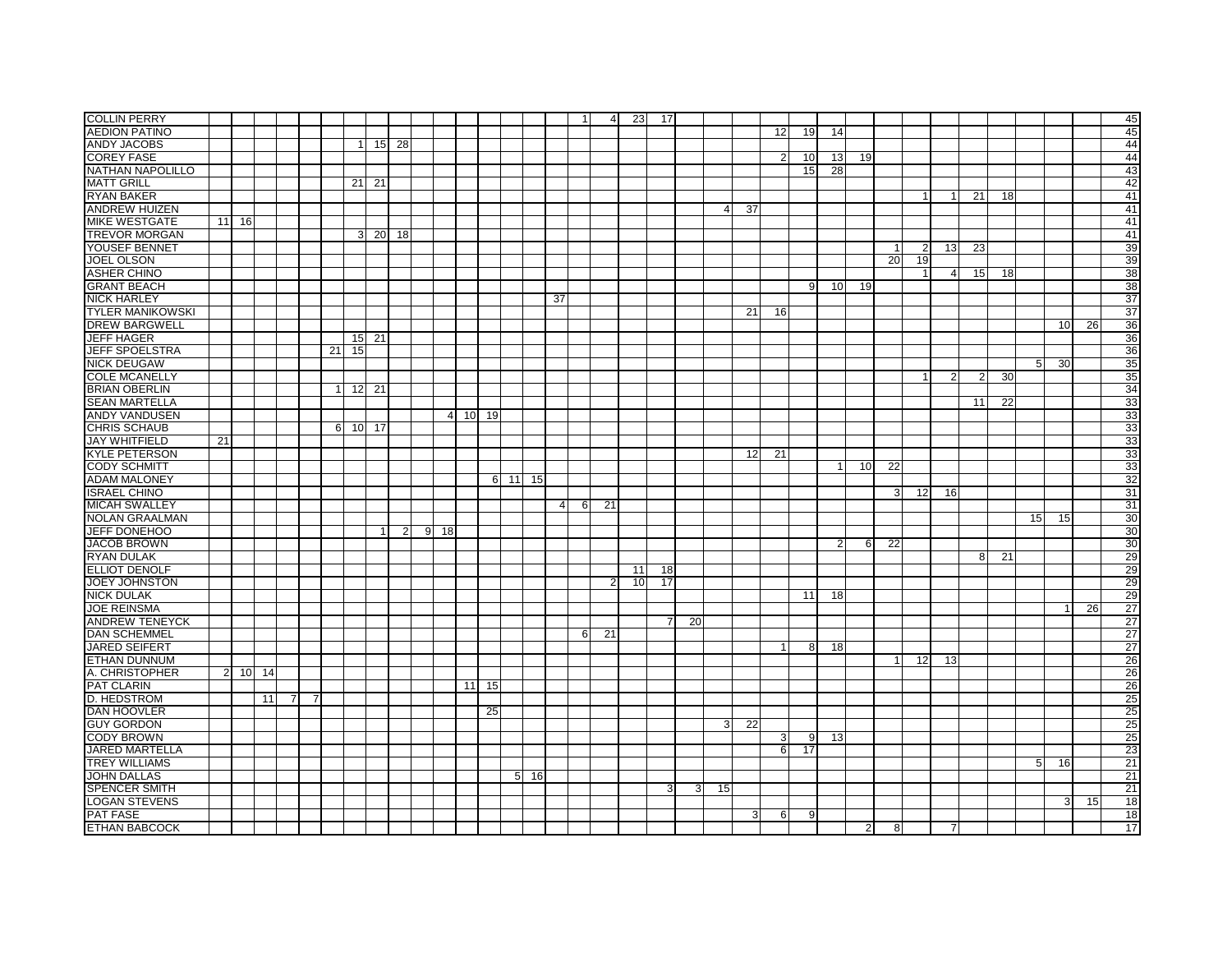| <b>COLLIN PERRY</b>     |    |         |    |   |    |                |    |         |       |                |                   |         |         |                      |                | $\overline{1}$ | $\overline{4}$ | 23 | 17             |    |    |                 |    |    |                 |                |                |                |                |                |    |                 |                 |    | 45              |
|-------------------------|----|---------|----|---|----|----------------|----|---------|-------|----------------|-------------------|---------|---------|----------------------|----------------|----------------|----------------|----|----------------|----|----|-----------------|----|----|-----------------|----------------|----------------|----------------|----------------|----------------|----|-----------------|-----------------|----|-----------------|
| <b>AEDION PATINO</b>    |    |         |    |   |    |                |    |         |       |                |                   |         |         |                      |                |                |                |    |                |    |    |                 | 12 | 19 | 14              |                |                |                |                |                |    |                 |                 |    | 45              |
| <b>ANDY JACOBS</b>      |    |         |    |   |    |                | 1  |         | 15 28 |                |                   |         |         |                      |                |                |                |    |                |    |    |                 |    |    |                 |                |                |                |                |                |    |                 |                 |    | 44              |
| <b>COREY FASE</b>       |    |         |    |   |    |                |    |         |       |                |                   |         |         |                      |                |                |                |    |                |    |    |                 | 2  | 10 | 13              | 19             |                |                |                |                |    |                 |                 |    | 44              |
| NATHAN NAPOLILLO        |    |         |    |   |    |                |    |         |       |                |                   |         |         |                      |                |                |                |    |                |    |    |                 |    | 15 | 28              |                |                |                |                |                |    |                 |                 |    | 43              |
| <b>MATT GRILL</b>       |    |         |    |   |    |                | 21 | 21      |       |                |                   |         |         |                      |                |                |                |    |                |    |    |                 |    |    |                 |                |                |                |                |                |    |                 |                 |    | 42              |
| <b>RYAN BAKER</b>       |    |         |    |   |    |                |    |         |       |                |                   |         |         |                      |                |                |                |    |                |    |    |                 |    |    |                 |                |                |                |                | 21             | 18 |                 |                 |    | 41              |
| <b>ANDREW HUIZEN</b>    |    |         |    |   |    |                |    |         |       |                |                   |         |         |                      |                |                |                |    |                |    | 4  | 37              |    |    |                 |                |                |                |                |                |    |                 |                 |    | 41              |
| <b>MIKE WESTGATE</b>    |    | 11 16   |    |   |    |                |    |         |       |                |                   |         |         |                      |                |                |                |    |                |    |    |                 |    |    |                 |                |                |                |                |                |    |                 |                 |    | 41              |
| <b>TREVOR MORGAN</b>    |    |         |    |   |    |                | 3  | 20      | 18    |                |                   |         |         |                      |                |                |                |    |                |    |    |                 |    |    |                 |                |                |                |                |                |    |                 |                 |    | 41              |
| YOUSEF BENNET           |    |         |    |   |    |                |    |         |       |                |                   |         |         |                      |                |                |                |    |                |    |    |                 |    |    |                 |                | $\overline{1}$ | $\overline{2}$ | 13             | 23             |    |                 |                 |    | 39              |
| <b>JOEL OLSON</b>       |    |         |    |   |    |                |    |         |       |                |                   |         |         |                      |                |                |                |    |                |    |    |                 |    |    |                 |                | 20             | 19             |                |                |    |                 |                 |    | 39              |
| <b>ASHER CHINO</b>      |    |         |    |   |    |                |    |         |       |                |                   |         |         |                      |                |                |                |    |                |    |    |                 |    |    |                 |                |                |                | $\overline{4}$ | 15             | 18 |                 |                 |    | 38              |
| <b>GRANT BEACH</b>      |    |         |    |   |    |                |    |         |       |                |                   |         |         |                      |                |                |                |    |                |    |    |                 |    | 9  | 10 <sup>1</sup> | 19             |                |                |                |                |    |                 |                 |    | 38              |
| <b>NICK HARLEY</b>      |    |         |    |   |    |                |    |         |       |                |                   |         |         |                      | 37             |                |                |    |                |    |    |                 |    |    |                 |                |                |                |                |                |    |                 |                 |    | 37              |
| <b>TYLER MANIKOWSKI</b> |    |         |    |   |    |                |    |         |       |                |                   |         |         |                      |                |                |                |    |                |    |    | 21              | 16 |    |                 |                |                |                |                |                |    |                 |                 |    | $\overline{37}$ |
| <b>DREW BARGWELL</b>    |    |         |    |   |    |                |    |         |       |                |                   |         |         |                      |                |                |                |    |                |    |    |                 |    |    |                 |                |                |                |                |                |    |                 | 10 <sup>1</sup> | 26 | 36              |
| <b>JEFF HAGER</b>       |    |         |    |   |    |                |    | 15 21   |       |                |                   |         |         |                      |                |                |                |    |                |    |    |                 |    |    |                 |                |                |                |                |                |    |                 |                 |    | 36              |
| <b>JEFF SPOELSTRA</b>   |    |         |    |   |    | 21             | 15 |         |       |                |                   |         |         |                      |                |                |                |    |                |    |    |                 |    |    |                 |                |                |                |                |                |    |                 |                 |    | 36              |
| <b>NICK DEUGAW</b>      |    |         |    |   |    |                |    |         |       |                |                   |         |         |                      |                |                |                |    |                |    |    |                 |    |    |                 |                |                |                |                |                |    | 5               | 30              |    | 35              |
| <b>COLE MCANELLY</b>    |    |         |    |   |    |                |    |         |       |                |                   |         |         |                      |                |                |                |    |                |    |    |                 |    |    |                 |                |                |                |                | $\overline{2}$ |    |                 |                 |    | 35              |
|                         |    |         |    |   |    |                |    |         |       |                |                   |         |         |                      |                |                |                |    |                |    |    |                 |    |    |                 |                |                |                | $\overline{2}$ |                | 30 |                 |                 |    |                 |
| <b>BRIAN OBERLIN</b>    |    |         |    |   |    | $\overline{1}$ |    | 12 21   |       |                |                   |         |         |                      |                |                |                |    |                |    |    |                 |    |    |                 |                |                |                |                |                |    |                 |                 |    | 34              |
| <b>SEAN MARTELLA</b>    |    |         |    |   |    |                |    |         |       |                |                   |         |         |                      |                |                |                |    |                |    |    |                 |    |    |                 |                |                |                |                | 11             | 22 |                 |                 |    | 33              |
| <b>ANDY VANDUSEN</b>    |    |         |    |   |    |                |    |         |       |                |                   | 4 10 19 |         |                      |                |                |                |    |                |    |    |                 |    |    |                 |                |                |                |                |                |    |                 |                 |    | 33              |
| <b>CHRIS SCHAUB</b>     |    |         |    |   |    |                |    | 6 10 17 |       |                |                   |         |         |                      |                |                |                |    |                |    |    |                 |    |    |                 |                |                |                |                |                |    |                 |                 |    | 33              |
| <b>JAY WHITFIELD</b>    | 21 |         |    |   |    |                |    |         |       |                |                   |         |         |                      |                |                |                |    |                |    |    |                 |    |    |                 |                |                |                |                |                |    |                 |                 |    | 33              |
| <b>KYLE PETERSON</b>    |    |         |    |   |    |                |    |         |       |                |                   |         |         |                      |                |                |                |    |                |    |    | 12              | 21 |    |                 |                |                |                |                |                |    |                 |                 |    | 33              |
| <b>CODY SCHMITT</b>     |    |         |    |   |    |                |    |         |       |                |                   |         |         |                      |                |                |                |    |                |    |    |                 |    |    | $\mathbf{1}$    | 10             | 22             |                |                |                |    |                 |                 |    | 33              |
| <b>ADAM MALONEY</b>     |    |         |    |   |    |                |    |         |       |                |                   |         |         | 6 11 15              |                |                |                |    |                |    |    |                 |    |    |                 |                |                |                |                |                |    |                 |                 |    | 32              |
| <b>ISRAEL CHINO</b>     |    |         |    |   |    |                |    |         |       |                |                   |         |         |                      |                |                |                |    |                |    |    |                 |    |    |                 |                | 3              | 12             | 16             |                |    |                 |                 |    | 31              |
| <b>MICAH SWALLEY</b>    |    |         |    |   |    |                |    |         |       |                |                   |         |         |                      | $\overline{4}$ | 6              | 21             |    |                |    |    |                 |    |    |                 |                |                |                |                |                |    |                 |                 |    | 31              |
| <b>NOLAN GRAALMAN</b>   |    |         |    |   |    |                |    |         |       |                |                   |         |         |                      |                |                |                |    |                |    |    |                 |    |    |                 |                |                |                |                |                |    | 15 <sup>1</sup> | 15              |    | 30              |
| <b>JEFF DONEHOO</b>     |    |         |    |   |    |                |    | 1       |       | $\overline{2}$ | $9 \overline{18}$ |         |         |                      |                |                |                |    |                |    |    |                 |    |    |                 |                |                |                |                |                |    |                 |                 |    | 30              |
| <b>JACOB BROWN</b>      |    |         |    |   |    |                |    |         |       |                |                   |         |         |                      |                |                |                |    |                |    |    |                 |    |    | $\overline{2}$  | 6              | 22             |                |                |                |    |                 |                 |    | 30              |
| <b>RYAN DULAK</b>       |    |         |    |   |    |                |    |         |       |                |                   |         |         |                      |                |                |                |    |                |    |    |                 |    |    |                 |                |                |                |                | 8              | 21 |                 |                 |    | 29              |
| <b>ELLIOT DENOLF</b>    |    |         |    |   |    |                |    |         |       |                |                   |         |         |                      |                |                |                | 11 | 18             |    |    |                 |    |    |                 |                |                |                |                |                |    |                 |                 |    | 29              |
| <b>JOEY JOHNSTON</b>    |    |         |    |   |    |                |    |         |       |                |                   |         |         |                      |                |                | 2              | 10 | 17             |    |    |                 |    |    |                 |                |                |                |                |                |    |                 |                 |    | 29              |
| <b>NICK DULAK</b>       |    |         |    |   |    |                |    |         |       |                |                   |         |         |                      |                |                |                |    |                |    |    |                 |    | 11 | 18              |                |                |                |                |                |    |                 |                 |    | 29              |
| <b>JOE REINSMA</b>      |    |         |    |   |    |                |    |         |       |                |                   |         |         |                      |                |                |                |    |                |    |    |                 |    |    |                 |                |                |                |                |                |    |                 |                 | 26 | 27              |
| <b>ANDREW TENEYCK</b>   |    |         |    |   |    |                |    |         |       |                |                   |         |         |                      |                |                |                |    | $\overline{7}$ | 20 |    |                 |    |    |                 |                |                |                |                |                |    |                 |                 |    | $\overline{27}$ |
| <b>DAN SCHEMMEL</b>     |    |         |    |   |    |                |    |         |       |                |                   |         |         |                      |                | 6              | 21             |    |                |    |    |                 |    |    |                 |                |                |                |                |                |    |                 |                 |    | 27              |
| <b>JARED SEIFERT</b>    |    |         |    |   |    |                |    |         |       |                |                   |         |         |                      |                |                |                |    |                |    |    |                 |    | 8  | 18              |                |                |                |                |                |    |                 |                 |    | 27              |
| <b>ETHAN DUNNUM</b>     |    |         |    |   |    |                |    |         |       |                |                   |         |         |                      |                |                |                |    |                |    |    |                 |    |    |                 |                | $\mathbf{1}$   | 12             | 13             |                |    |                 |                 |    | 26              |
| A. CHRISTOPHER          |    | 2 10 14 |    |   |    |                |    |         |       |                |                   |         |         |                      |                |                |                |    |                |    |    |                 |    |    |                 |                |                |                |                |                |    |                 |                 |    | 26              |
| <b>PAT CLARIN</b>       |    |         |    |   |    |                |    |         |       |                |                   |         | $11$ 15 |                      |                |                |                |    |                |    |    |                 |    |    |                 |                |                |                |                |                |    |                 |                 |    | 26              |
| D. HEDSTROM             |    |         | 11 | 7 | 71 |                |    |         |       |                |                   |         |         |                      |                |                |                |    |                |    |    |                 |    |    |                 |                |                |                |                |                |    |                 |                 |    | 25              |
| <b>DAN HOOVLER</b>      |    |         |    |   |    |                |    |         |       |                |                   |         |         |                      |                |                |                |    |                |    |    |                 |    |    |                 |                |                |                |                |                |    |                 |                 |    | 25              |
| <b>GUY GORDON</b>       |    |         |    |   |    |                |    |         |       |                |                   |         | 25      |                      |                |                |                |    |                |    |    |                 |    |    |                 |                |                |                |                |                |    |                 |                 |    |                 |
|                         |    |         |    |   |    |                |    |         |       |                |                   |         |         |                      |                |                |                |    |                |    | 3  | $\overline{22}$ |    |    |                 |                |                |                |                |                |    |                 |                 |    | 25              |
| <b>CODY BROWN</b>       |    |         |    |   |    |                |    |         |       |                |                   |         |         |                      |                |                |                |    |                |    |    |                 | 3  | 9  | 13              |                |                |                |                |                |    |                 |                 |    | 25              |
| JARED MARTELLA          |    |         |    |   |    |                |    |         |       |                |                   |         |         |                      |                |                |                |    |                |    |    |                 | 6  | 17 |                 |                |                |                |                |                |    |                 |                 |    | 23              |
| <b>TREY WILLIAMS</b>    |    |         |    |   |    |                |    |         |       |                |                   |         |         |                      |                |                |                |    |                |    |    |                 |    |    |                 |                |                |                |                |                |    | 5               | 16              |    | 21              |
| <b>JOHN DALLAS</b>      |    |         |    |   |    |                |    |         |       |                |                   |         |         | 5 <sup>1</sup><br>16 |                |                |                |    |                |    |    |                 |    |    |                 |                |                |                |                |                |    |                 |                 |    | 21              |
| <b>SPENCER SMITH</b>    |    |         |    |   |    |                |    |         |       |                |                   |         |         |                      |                |                |                |    | 3              | 3  | 15 |                 |    |    |                 |                |                |                |                |                |    |                 |                 |    | 21              |
| <b>LOGAN STEVENS</b>    |    |         |    |   |    |                |    |         |       |                |                   |         |         |                      |                |                |                |    |                |    |    |                 |    |    |                 |                |                |                |                |                |    |                 | 3               | 15 | $\overline{18}$ |
| <b>PAT FASE</b>         |    |         |    |   |    |                |    |         |       |                |                   |         |         |                      |                |                |                |    |                |    |    | 3               | 6  | 9  |                 |                |                |                |                |                |    |                 |                 |    | 18              |
| <b>ETHAN BABCOCK</b>    |    |         |    |   |    |                |    |         |       |                |                   |         |         |                      |                |                |                |    |                |    |    |                 |    |    |                 | $\overline{2}$ | 8              |                |                |                |    |                 |                 |    | 17              |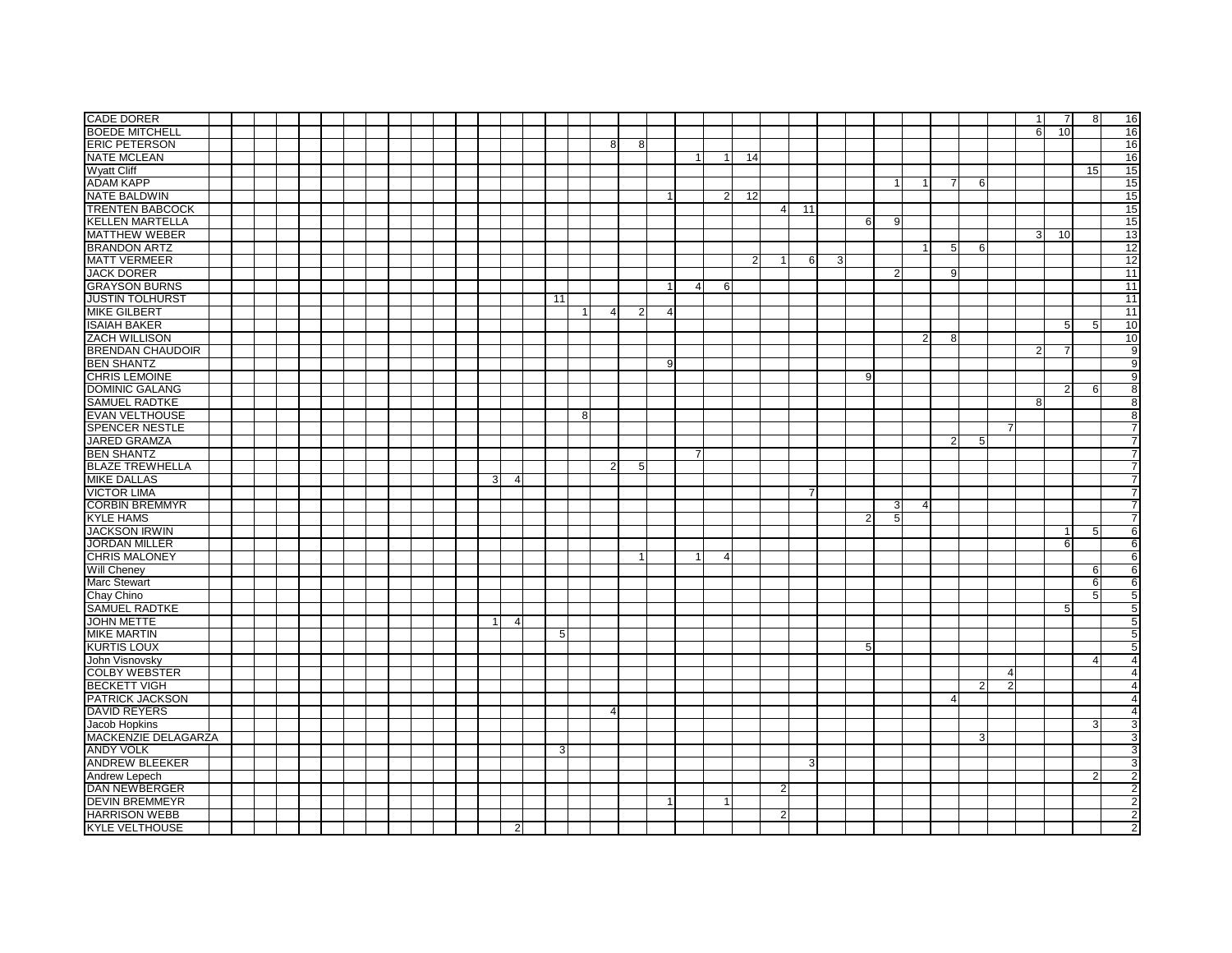| <b>CADE DORER</b>                             |  |  |  |  |  |  |                |                |    |              |                |                |                |                |                |    |                |    |   |                |                |                |                |                |   |                | $\overline{1}$ | -7             | 8  |                                  |
|-----------------------------------------------|--|--|--|--|--|--|----------------|----------------|----|--------------|----------------|----------------|----------------|----------------|----------------|----|----------------|----|---|----------------|----------------|----------------|----------------|----------------|---|----------------|----------------|----------------|----|----------------------------------|
|                                               |  |  |  |  |  |  |                |                |    |              |                |                |                |                |                |    |                |    |   |                |                |                |                |                |   |                |                |                |    | 16                               |
| <b>BOEDE MITCHELL</b>                         |  |  |  |  |  |  |                |                |    |              |                |                |                |                |                |    |                |    |   |                |                |                |                |                |   |                | 6              | 10             |    | 16                               |
| <b>ERIC PETERSON</b>                          |  |  |  |  |  |  |                |                |    |              | 8              | 8              |                |                |                |    |                |    |   |                |                |                |                |                |   |                |                |                |    | 16                               |
| <b>NATE MCLEAN</b>                            |  |  |  |  |  |  |                |                |    |              |                |                |                | 1              | 1              | 14 |                |    |   |                |                |                |                |                |   |                |                |                |    | 16                               |
| <b>Wyatt Cliff</b>                            |  |  |  |  |  |  |                |                |    |              |                |                |                |                |                |    |                |    |   |                |                |                |                |                |   |                |                |                | 15 | 15                               |
| <b>ADAM KAPP</b>                              |  |  |  |  |  |  |                |                |    |              |                |                |                |                |                |    |                |    |   |                |                |                | -7             |                | 6 |                |                |                |    | 15                               |
| <b>NATE BALDWIN</b>                           |  |  |  |  |  |  |                |                |    |              |                |                | $\overline{1}$ |                | 2 <sub>l</sub> | 12 |                |    |   |                |                |                |                |                |   |                |                |                |    | 15                               |
| <b>TRENTEN BABCOCK</b>                        |  |  |  |  |  |  |                |                |    |              |                |                |                |                |                |    | $\overline{4}$ | 11 |   |                |                |                |                |                |   |                |                |                |    | 15                               |
| <b>KELLEN MARTELLA</b>                        |  |  |  |  |  |  |                |                |    |              |                |                |                |                |                |    |                |    |   | 6              | 9              |                |                |                |   |                |                |                |    | 15                               |
| <b>MATTHEW WEBER</b>                          |  |  |  |  |  |  |                |                |    |              |                |                |                |                |                |    |                |    |   |                |                |                |                |                |   |                | 3              | 10             |    | 13                               |
| <b>BRANDON ARTZ</b>                           |  |  |  |  |  |  |                |                |    |              |                |                |                |                |                |    |                |    |   |                |                |                |                |                |   |                |                |                |    |                                  |
|                                               |  |  |  |  |  |  |                |                |    |              |                |                |                |                |                |    |                |    |   |                |                | -1             | 5              | 6              |   |                |                |                |    | $\overline{12}$                  |
| <b>MATT VERMEER</b>                           |  |  |  |  |  |  |                |                |    |              |                |                |                |                |                | 2  |                | 6  | 3 |                |                |                |                |                |   |                |                |                |    | 12                               |
| <b>JACK DORER</b>                             |  |  |  |  |  |  |                |                |    |              |                |                |                |                |                |    |                |    |   |                | $\overline{2}$ |                | 9              |                |   |                |                |                |    | 11                               |
| <b>GRAYSON BURNS</b>                          |  |  |  |  |  |  |                |                |    |              |                |                | -1             | $\overline{4}$ | 6              |    |                |    |   |                |                |                |                |                |   |                |                |                |    | 11                               |
| <b>JUSTIN TOLHURST</b>                        |  |  |  |  |  |  |                |                | 11 |              |                |                |                |                |                |    |                |    |   |                |                |                |                |                |   |                |                |                |    | 11                               |
| <b>MIKE GILBERT</b>                           |  |  |  |  |  |  |                |                |    | $\mathbf{1}$ | $\overline{4}$ | $\overline{2}$ | $\overline{4}$ |                |                |    |                |    |   |                |                |                |                |                |   |                |                |                |    | $\overline{11}$                  |
| <b>ISAIAH BAKER</b>                           |  |  |  |  |  |  |                |                |    |              |                |                |                |                |                |    |                |    |   |                |                |                |                |                |   |                |                | -5             | 5  | 10                               |
| <b>ZACH WILLISON</b>                          |  |  |  |  |  |  |                |                |    |              |                |                |                |                |                |    |                |    |   |                |                | $\overline{2}$ | 8              |                |   |                |                |                |    | 10                               |
| <b>BRENDAN CHAUDOIR</b>                       |  |  |  |  |  |  |                |                |    |              |                |                |                |                |                |    |                |    |   |                |                |                |                |                |   |                | $\overline{2}$ | 7              |    | $\overline{9}$                   |
| <b>BEN SHANTZ</b>                             |  |  |  |  |  |  |                |                |    |              |                |                | 9              |                |                |    |                |    |   |                |                |                |                |                |   |                |                |                |    | 9                                |
| CHRIS LEMOINE                                 |  |  |  |  |  |  |                |                |    |              |                |                |                |                |                |    |                |    |   | 9              |                |                |                |                |   |                |                |                |    | 9                                |
|                                               |  |  |  |  |  |  |                |                |    |              |                |                |                |                |                |    |                |    |   |                |                |                |                |                |   |                |                |                |    |                                  |
| <b>DOMINIC GALANG</b>                         |  |  |  |  |  |  |                |                |    |              |                |                |                |                |                |    |                |    |   |                |                |                |                |                |   |                |                | $\overline{2}$ | 6  | 8                                |
| <b>SAMUEL RADTKE</b>                          |  |  |  |  |  |  |                |                |    |              |                |                |                |                |                |    |                |    |   |                |                |                |                |                |   |                | 8              |                |    | 8                                |
| <b>EVAN VELTHOUSE</b>                         |  |  |  |  |  |  |                |                |    | 8            |                |                |                |                |                |    |                |    |   |                |                |                |                |                |   |                |                |                |    | $\overline{8}$                   |
| <b>SPENCER NESTLE</b>                         |  |  |  |  |  |  |                |                |    |              |                |                |                |                |                |    |                |    |   |                |                |                |                |                |   | 7              |                |                |    | $\overline{7}$                   |
| <b>JARED GRAMZA</b>                           |  |  |  |  |  |  |                |                |    |              |                |                |                |                |                |    |                |    |   |                |                |                | $\overline{2}$ |                | 5 |                |                |                |    | 7                                |
| <b>BEN SHANTZ</b>                             |  |  |  |  |  |  |                |                |    |              |                |                |                |                |                |    |                |    |   |                |                |                |                |                |   |                |                |                |    | 7                                |
| <b>BLAZE TREWHELLA</b>                        |  |  |  |  |  |  |                |                |    |              | $\overline{2}$ | 5              |                |                |                |    |                |    |   |                |                |                |                |                |   |                |                |                |    | $\overline{7}$                   |
|                                               |  |  |  |  |  |  |                |                |    |              |                |                |                |                |                |    |                |    |   |                |                |                |                |                |   |                |                |                |    |                                  |
|                                               |  |  |  |  |  |  |                |                |    |              |                |                |                |                |                |    |                |    |   |                |                |                |                |                |   |                |                |                |    |                                  |
| <b>MIKE DALLAS</b>                            |  |  |  |  |  |  | 3 <sup>1</sup> | $\overline{4}$ |    |              |                |                |                |                |                |    |                |    |   |                |                |                |                |                |   |                |                |                |    | 7                                |
| <b>VICTOR LIMA</b>                            |  |  |  |  |  |  |                |                |    |              |                |                |                |                |                |    |                |    |   |                |                |                |                |                |   |                |                |                |    | 7                                |
| <b>CORBIN BREMMYR</b>                         |  |  |  |  |  |  |                |                |    |              |                |                |                |                |                |    |                |    |   |                | 3              | $\overline{4}$ |                |                |   |                |                |                |    | $\overline{7}$                   |
| <b>KYLE HAMS</b>                              |  |  |  |  |  |  |                |                |    |              |                |                |                |                |                |    |                |    |   | $\overline{2}$ | 5              |                |                |                |   |                |                |                |    | 7                                |
| <b>JACKSON IRWIN</b>                          |  |  |  |  |  |  |                |                |    |              |                |                |                |                |                |    |                |    |   |                |                |                |                |                |   |                |                |                | 5  | 6                                |
| <b>JORDAN MILLER</b>                          |  |  |  |  |  |  |                |                |    |              |                |                |                |                |                |    |                |    |   |                |                |                |                |                |   |                |                | 6              |    | 6                                |
| <b>CHRIS MALONEY</b>                          |  |  |  |  |  |  |                |                |    |              |                |                |                | 1              | 4              |    |                |    |   |                |                |                |                |                |   |                |                |                |    | 6                                |
| Will Cheney                                   |  |  |  |  |  |  |                |                |    |              |                |                |                |                |                |    |                |    |   |                |                |                |                |                |   |                |                |                | 6  | 6                                |
| Marc Stewart                                  |  |  |  |  |  |  |                |                |    |              |                |                |                |                |                |    |                |    |   |                |                |                |                |                |   |                |                |                | 6  | 6                                |
| Chay Chino                                    |  |  |  |  |  |  |                |                |    |              |                |                |                |                |                |    |                |    |   |                |                |                |                |                |   |                |                |                | 5  | 5                                |
| <b>SAMUEL RADTKE</b>                          |  |  |  |  |  |  |                |                |    |              |                |                |                |                |                |    |                |    |   |                |                |                |                |                |   |                |                |                |    |                                  |
|                                               |  |  |  |  |  |  | $\mathbf{1}$   | $\overline{4}$ |    |              |                |                |                |                |                |    |                |    |   |                |                |                |                |                |   |                |                | 5              |    | 5                                |
| <b>JOHN METTE</b>                             |  |  |  |  |  |  |                |                |    |              |                |                |                |                |                |    |                |    |   |                |                |                |                |                |   |                |                |                |    | $\overline{5}$                   |
| <b>MIKE MARTIN</b>                            |  |  |  |  |  |  |                |                | 5  |              |                |                |                |                |                |    |                |    |   |                |                |                |                |                |   |                |                |                |    | 5                                |
| <b>KURTIS LOUX</b>                            |  |  |  |  |  |  |                |                |    |              |                |                |                |                |                |    |                |    |   | 5              |                |                |                |                |   |                |                |                |    | 5                                |
| John Visnovsky                                |  |  |  |  |  |  |                |                |    |              |                |                |                |                |                |    |                |    |   |                |                |                |                |                |   |                |                |                | 4  | $\overline{4}$                   |
| <b>COLBY WEBSTER</b>                          |  |  |  |  |  |  |                |                |    |              |                |                |                |                |                |    |                |    |   |                |                |                |                |                |   | $\overline{4}$ |                |                |    | 4                                |
| <b>BECKETT VIGH</b>                           |  |  |  |  |  |  |                |                |    |              |                |                |                |                |                |    |                |    |   |                |                |                |                | $\overline{2}$ |   | $\overline{2}$ |                |                |    | 4                                |
| PATRICK JACKSON                               |  |  |  |  |  |  |                |                |    |              |                |                |                |                |                |    |                |    |   |                |                |                | $\overline{4}$ |                |   |                |                |                |    | $\overline{4}$                   |
| <b>DAVID REYERS</b>                           |  |  |  |  |  |  |                |                |    |              | $\overline{4}$ |                |                |                |                |    |                |    |   |                |                |                |                |                |   |                |                |                |    | 4                                |
| <b>Jacob Hopkins</b>                          |  |  |  |  |  |  |                |                |    |              |                |                |                |                |                |    |                |    |   |                |                |                |                |                |   |                |                |                | 3  | 3                                |
|                                               |  |  |  |  |  |  |                |                |    |              |                |                |                |                |                |    |                |    |   |                |                |                |                |                | 3 |                |                |                |    |                                  |
| MACKENZIE DELAGARZA                           |  |  |  |  |  |  |                |                | 3  |              |                |                |                |                |                |    |                |    |   |                |                |                |                |                |   |                |                |                |    | $\overline{3}$                   |
| <b>ANDY VOLK</b>                              |  |  |  |  |  |  |                |                |    |              |                |                |                |                |                |    |                |    |   |                |                |                |                |                |   |                |                |                |    | 3                                |
| <b>ANDREW BLEEKER</b>                         |  |  |  |  |  |  |                |                |    |              |                |                |                |                |                |    |                | 3  |   |                |                |                |                |                |   |                |                |                |    | 3                                |
| Andrew Lepech                                 |  |  |  |  |  |  |                |                |    |              |                |                |                |                |                |    |                |    |   |                |                |                |                |                |   |                |                |                | 2  | $\overline{2}$                   |
| <b>DAN NEWBERGER</b>                          |  |  |  |  |  |  |                |                |    |              |                |                |                |                |                |    | $\overline{2}$ |    |   |                |                |                |                |                |   |                |                |                |    | $\overline{2}$                   |
| <b>DEVIN BREMMEYR</b>                         |  |  |  |  |  |  |                |                |    |              |                |                |                |                |                |    |                |    |   |                |                |                |                |                |   |                |                |                |    | $\overline{\mathbf{c}}$          |
| <b>HARRISON WEBB</b><br><b>KYLE VELTHOUSE</b> |  |  |  |  |  |  |                | $\overline{2}$ |    |              |                |                |                |                |                |    | 2              |    |   |                |                |                |                |                |   |                |                |                |    | $\overline{2}$<br>$\overline{2}$ |